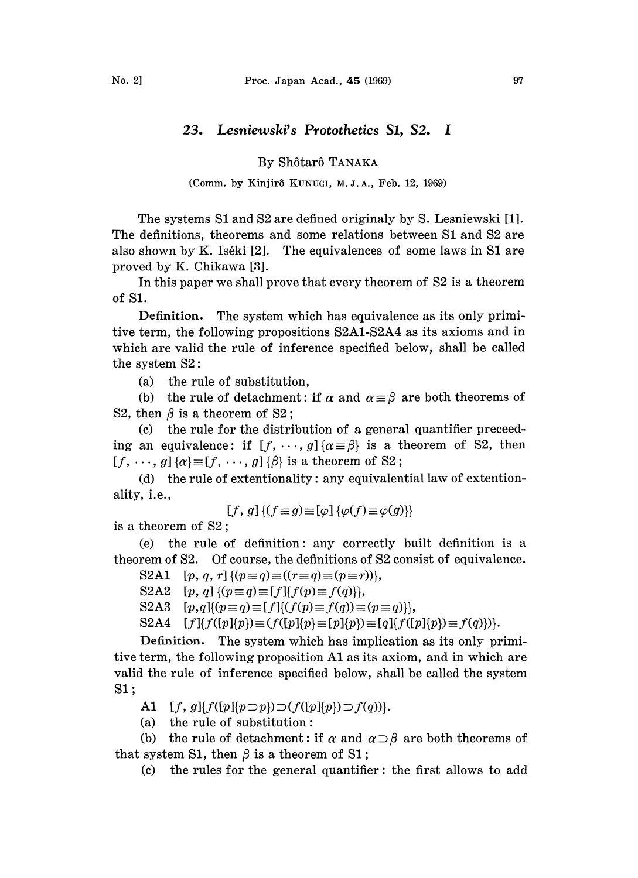## 23. Lesniewski's Protothetics \$1, \$2. I

By Sh6tar6 TANAKA

(Comm. by Kinjirô KUNUGI, M.J.A., Feb. 12, 1969)

The systems S1 and S2 are defined originaly by S. Lesniewski [1]. The definitions, theorems and some relations between S1 and S2 are also shown by K. Iséki [2]. The equivalences of some laws in  $S1$  are proved by K. Chikawa [3].

In this paper we shall prove that every theorem of  $S2$  is a theorem of SI.

Definition. The system which has equivalence as its only primitive term, the following propositions S2A1-S2A4 as its axioms and in which are valid the rule of inference specified below, shall be called the system  $S2$ :

(a) the rule of substitution,

(b) the rule of detachment: if  $\alpha$  and  $\alpha = \beta$  are both theorems of S2, then  $\beta$  is a theorem of S2;

 $(c)$  the rule for the distribution of a general quantifier preceeding an equivalence: if  $[f, \dots, g]$   $\{\alpha \equiv \beta\}$  is a theorem of S2, then  $[f, \cdots, g]$  { $\alpha$ } = [f,  $\cdots$ , g] { $\beta$ } is a theorem of S2;

(d) the rule of extentionality: any equivalential law of extentionality, i.e.,

$$
[f, g] \{ (f \equiv g) \equiv [\varphi] \{ \varphi(f) \equiv \varphi(g) \} \}
$$

is a theorem of S2;

(e) the rule of definition: any correctly built definition is a theorem of \$2. Of course, the definitions of \$2 consist of equivalence.

S2A1  $[p, q, r]$  { $(p=q) \equiv ((r \equiv q) \equiv (p \equiv r))$ },

S2A2  $[p, q]$  { $(p \equiv q) \equiv [f]$ { $f(p) \equiv f(q)$ },

S2A3  $[p,q]\{(p \equiv q) \equiv [f]\{(f(p) \equiv f(q)) \equiv (p \equiv q)\},\$ 

 $S2A4$   $[f]{f([p]\{p\}) \equiv (f([p]\{p\}) \equiv [p]\{p\}) \equiv [q]\{f([p]\{p\}) \equiv f(q)\})}.$ 

Definition. The system which has implication as its only primitive term, the following proposition A1 as its axiom, and in which are valid the rule of inference specified below, shall be called the system S1;

A1  $[f, g] \{f([p][p \supset p)) \supset (f([p][p]) \supset f(q))\}.$ 

(a) the rule of substitution:

(b) the rule of detachment: if  $\alpha$  and  $\alpha \supset \beta$  are both theorems of that system S1, then  $\beta$  is a theorem of S1;

(c) the rules for the general quantifier: the first allows to add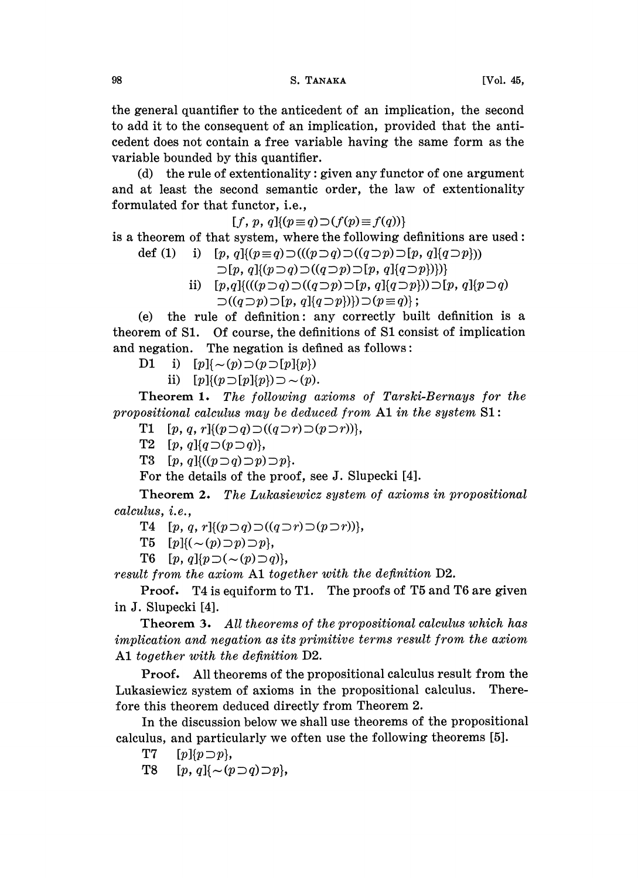the general quantifier to the anticedent of an implication, the second to add it to the consequent of an implication, provided that the anticedent does not contain a free variable having the same form as the variable bounded by this quantifier.

(d) the rule of extentionality: given any functor of one argument and at least the second semantic order, the law of extentionality formulated for that functor, i.e.,

 $[f, p, q](p \equiv q) \supset (f(p) \equiv f(q))$ 

is a theorem of that system, where the following definitions are used:

def (1) i)  $[p, q] \{(p \equiv q) \supset ((p \supset q) \supset ((q \supset p) \supset [p, q] \{q \supset p\}))$ 

 $\sup [p, q] \{ (p \supset q) \supset ((q \supset p) \supset [p, q] \{ q \supset p \} ) \}$ 

ii)  $[p,q]$ {(((p  $\supset q$ )  $\supset (q \supset p) \supset [p, q]$ { $q \supset p$ }))  $\supset [p, q]$ { $p \supset q$ }  $\supset ((q\supset p)\supset [p, q]\{q\supset p\})\supset (p\equiv q)\};$ 

(e) the rule of definition: any correctly built definition is a theorem of \$1. Of course, the definitions of S1 consist of implication and negation. The negation is defined as follows:

D1 i)  $[p]_{{\mathcal{A}}} \sim (p) \supset (p \supset [p]_{\{p\}})$ 

ii)  $[p](p \supset [p](p)) \supset \sim (p)$ .

Theorem 1. The following axioms of Tarski-Bernays for the propositional calculus may be deduced from  $A1$  in the system  $S1$ :

T1  $[p, q, r]$ { $(p \supset q) \supset (q \supset r) \supset (p \supset r)$ },

T2  $[p, q]$ { $q \supset (p \supset q)$ },

T3  $[p, q]$ { $((p \supset q) \supset p) \supset p$ }.

For the details of the proof, see J. Slupecki [4].

Theorem 2. The Lukasiewicz system of axioms in propositional calculus, *i.e.*,

T4  $[p, q, r]$ { $(p \supset q)$   $\supset$   $((q \supset r) \supset (p \supset r))$ },

T5  $[p]$ { $\left(\sim (p) \supset p\right) \supset p$ },

T6  $[p, q][p \supset (\sim(p) \supset q)],$ 

result from the axiom A1 together with the definition D2.

Proof. T4 is equiform to T1. The proofs of T5 and T6 are given in J. Slupecki [4].

Theorem 3. All theorems of the propositional calculus which has implication and negation as its primitive terms result from the axiom A1 together with the definition D2.

Proof. All theorems of the propositional calculus result from the Lukasiewicz system of axioms in the propositional calculus. Therefore this theorem deduced directly from Theorem 2.

In the discussion below we shall use theorems of the propositional calculus, and particularly we often use the following theorems [5].

T7  $[p][p \supset p],$ 

T8  $[p, q] \{ \sim (p \supset q) \supset p \},\$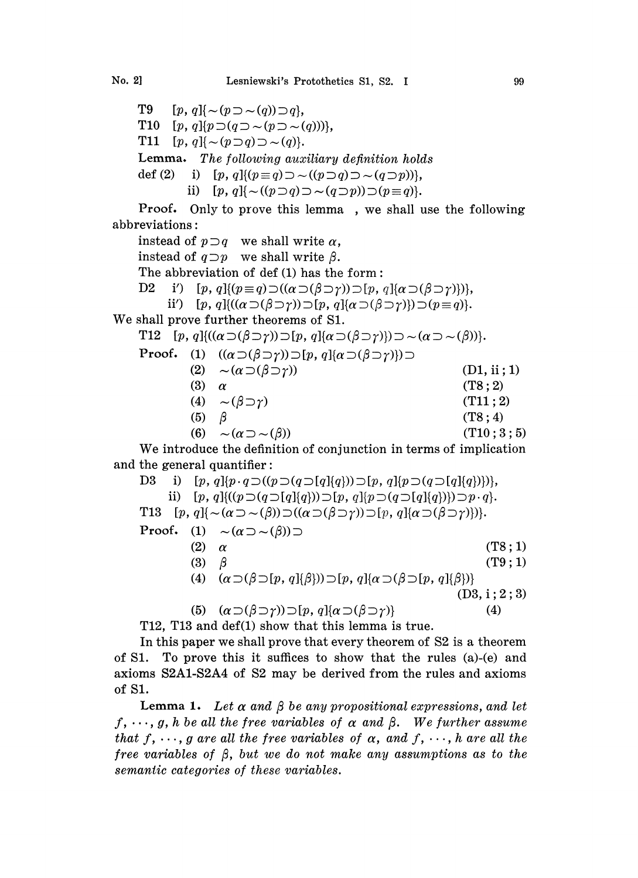T9  $[p, q] \{ \sim (p \supset \sim (q)) \supset q \},\$ T10  $[p, q]$ { $p \supset (q \supset \sim (p \supset \sim (q)))$ }, T11  $[p, q] \{ \sim (p \supset q) \supset \sim (q) \}.$ Lemma. The following auxiliary definition holds def (2) i)  $[p, q] \{(p=q) \supset \sim ((p \supset q) \supset \sim (q \supset p))\},\$ ii)  $[p, q] \{ \sim ((p \supset q) \supset \sim (q \supset p)) \supset (p \equiv q) \}.$ Proof. Only to prove this lemma, we shall use the following

abbreviations:

instead of  $p \supset q$  we shall write  $\alpha$ , instead of  $q \supset p$  we shall write  $\beta$ . The abbreviation of def (1) has the form: D2 i')  $[p, q](p \equiv q) \supset ((\alpha \supset (\beta \supset \gamma)) \supset [p, q](\alpha \supset (\beta \supset \gamma))),$ ii')  $[p, q]$ { $((\alpha \supset (\beta \supset \gamma)) \supset [p, q]$ { $\alpha \supset (\beta \supset \gamma)$ }) $\supset (p \equiv q)$ }. We shall prove further theorems of S1. T12  $[p, q]$ { $((\alpha \supset (\beta \supset \gamma)) \supset [p, q]$ { $\alpha \supset (\beta \supset \gamma)$ }) $\supset \sim (\alpha \supset \sim (\beta))$ }. **Proof.** (1)  $((\alpha \supset (\beta \supset \gamma)) \supset [p, q](\alpha \supset (\beta \supset \gamma)) \supset$ (2)  $\sim (\alpha \supset (\beta \supset \gamma))$  (D1, ii; 1)<br>(3)  $\alpha$  (T8; 2)  $(T8:2)$ (4)  $\sim (\beta \supset \gamma)$  (T11; 2) (5)  $\beta$  (T8;4) (6)  $\sim (\alpha \supset \sim (\beta))$  (T10; 3; 5) We introduce the definition of conjunction in terms of implication and the general quantifier:

D3 i)  $[p, q]$ { $p \cdot q \supset (p \supset (q \supset [q]{q}) \supset [p, q]$ { $p \supset (q \supset [q]{q})$ }}, ii)  $[p, q]$ { $((p \supset (q \supset [q]{q})) \supset [p, q]$ { $p \supset (q \supset [q]{q})$ }) $\supset p \cdot q$ . T13  $[p, q] \{\sim(\alpha \supset \sim(\beta)) \supset ((\alpha \supset (\beta \supset \gamma)) \supset [p, q] \{\alpha \supset (\beta \supset \gamma)\}\}.$ Proof. (1)  $\sim (\alpha \supset \sim(\beta)) \supset$  (2)  $\alpha$  $\alpha$  (T8; 1) (3)  $\beta$  (T9; 1) (4)  $(\alpha \supset (\beta \supset [p, q](\beta))) \supset [p, q](\alpha \supset (\beta \supset [p, q](\beta)))$  $(D3, i; 2; 3)$ (5)  $(\alpha \supset (\beta \supset \gamma)) \supset [p, q] {\alpha \supset (\beta \supset \gamma)}$  (4)

T12, T13 and def(1) show that this lemma is true.

In this paper we shall prove that every theorem of S2 is a theorem of S1. To prove this it suffices to show that the rules (a)-(e) and axioms S2A1-S2A4 of \$2 may be derived from the rules and axioms of S1.

**Lemma 1.** Let  $\alpha$  and  $\beta$  be any propositional expressions, and let  $f, \dots, g$ , h be all the free variables of  $\alpha$  and  $\beta$ . We further assume that f,  $\cdots$ , g are all the free variables of  $\alpha$ , and f,  $\cdots$ , h are all the free variables of  $\beta$ , but we do not make any assumptions as to the semantic categories of these variables.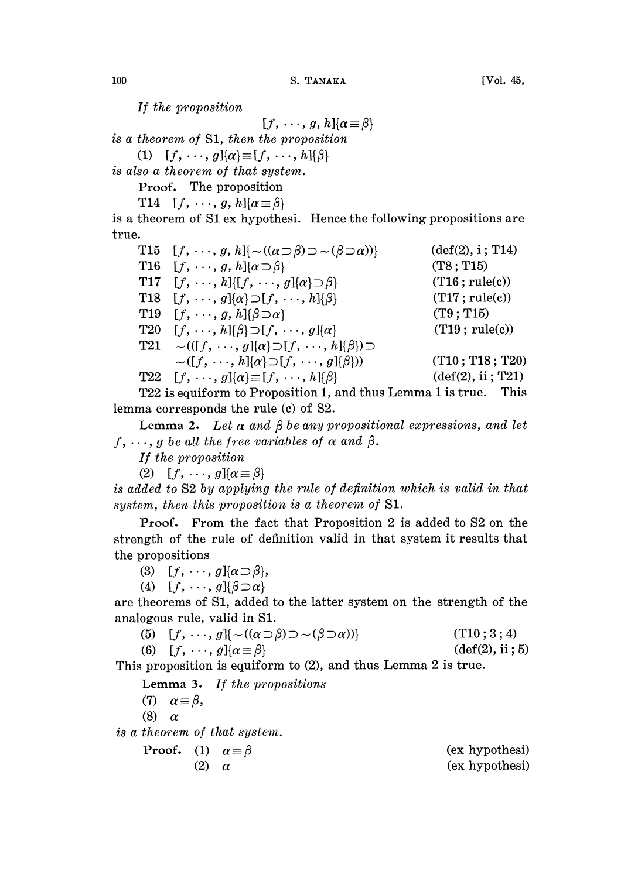If the proposition

 $[f, \cdots, g, h]$  $\{\alpha \equiv \beta\}$ is a theorem of S1, then the proposition

(1)  $[f, \ldots, g]$ { $\alpha$ }  $\equiv$   $[f, \ldots, h]$ { $\beta$ }

is also a theorem of that system.

Proof. The proposition

T14  $[f, \cdots, g, h]$  $\{\alpha \equiv \beta\}$ 

is a theorem of S1 ex hypothesi. Hence the following propositions are true.

T15  $[f, \dots, g, h] \{ \sim ((\alpha \supset \beta) \supset \sim (\beta \supset \alpha)) \}$  (def(2), i; T14)<br>T16  $[f, \dots, g, h] \{ \alpha \supset \beta \}$  (T8; T15) T16  $[f, \cdots, g, h]$  $\{\alpha \supset \beta\}$ T17  $[f, \cdots, h][[f, \cdots, g][\alpha] \supset \beta$  (T16; rule(c)) T18  $[f, \cdots, g]$  $\{\alpha\} \supset [f, \cdots, h]$  $\{\beta\}$  (T17; rule(c)) T19  $[f, \cdots, g, h]{\beta \supset \alpha}$  (T9; T15) T20  $[f, \cdots, h]{\beta} \supset [f, \cdots, g]{\alpha}$  (T19; rule(c)) T21  $\sim (([f, \cdots, g][\alpha] \supset [f, \cdots, h][\beta]) \supset$  $\sim([f, \cdots, h]\{\alpha\} \supset [f, \cdots, g]\{\beta\})$  $T22 \quad [f, \cdots, g] {\alpha} \equiv [f, \cdots, h] {\beta}$  (def(2), ii ; T21)  $(T10; T18; T20)$ 

T22 is equiform to Proposition 1, and thus Lemma <sup>1</sup> is true. This lemma corresponds the rule (c) of S2.

Lemma 2. Let  $\alpha$  and  $\beta$  be any propositional expressions, and let  $f, \dots, g$  be all the free variables of  $\alpha$  and  $\beta$ .

If the proposition

(2)  $[f, \cdots, g](\alpha \equiv \beta)$ 

is added to \$2 by applying the rule of definition which is valid in that system, then this proposition is a theorem of S1.

Proof. From the fact that Proposition 2 is added to S2 on the strength of the rule of definition valid in that system it results that the propositions

(3)  $[f, \cdots, g]$ { $\alpha \supset \beta$ },

(4)  $[f, \cdots, g][\beta \supset \alpha]$ 

are theorems of S1, added to the latter system on the strength of the analogous rule, valid in S1.

(5) 
$$
[f, \cdots, g] \{ \sim ((\alpha \supset \beta) \supset \sim (\beta \supset \alpha)) \}
$$
 (T10; 3; 4)  
(6)  $[f, \cdots, g] \{ \alpha \equiv \beta \}$  (def(2), ii; 5)

This proposition is equiform to (2), and thus Lemma 2 is true.

Lemma 3. If the propositions

(7)  $\alpha \equiv \beta$ ,

(8)  $\alpha$ 

is a theorem of that system.

$$
Proof. (1) \tα≡ β\n(2) \tα\n(6x hypothesis)
$$
\n
$$
(\text{ex hypothesis})
$$
\n
$$
(\text{ex hypothesis})
$$